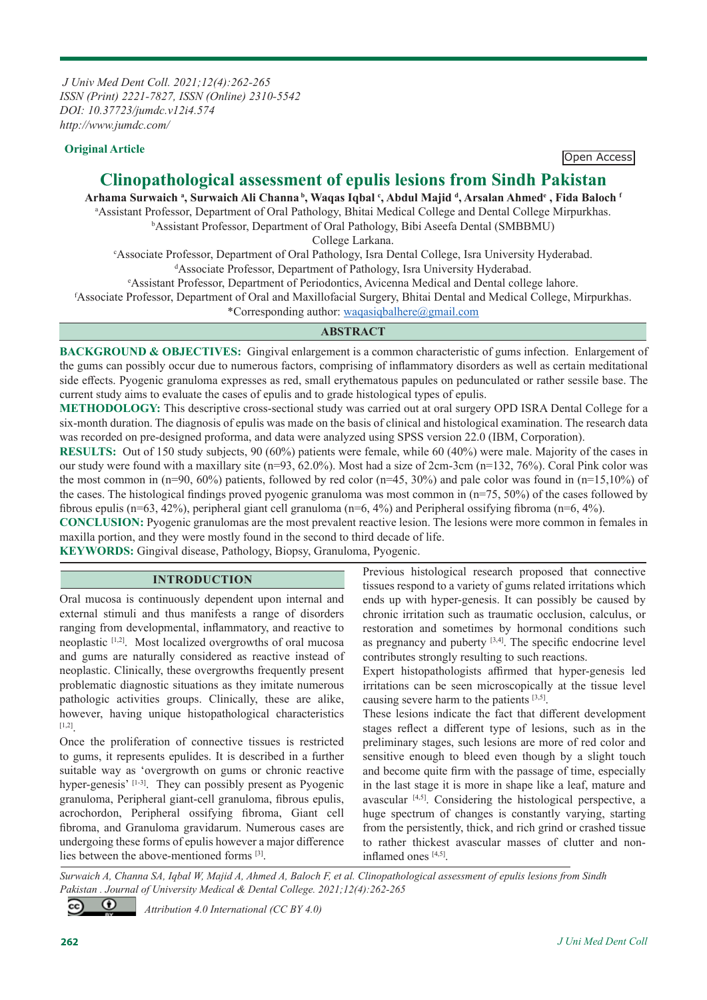*J Univ Med Dent Coll. 2021;12(4):262-265 ISSN (Print) 2221-7827, ISSN (Online) 2310-5542 DOI: 10.37723/jumdc.v12i4.574 http://www.jumdc.com/*

# **Original Article Open Access**

# **Clinopathological assessment of epulis lesions from Sindh Pakistan**

**Arhama Surwaich a , Surwaich Ali Channa b, Waqas Iqbal c , Abdul Majid d , Arsalan Ahmede , Fida Baloch f** Assistant Professor, Department of Oral Pathology, Bhitai Medical College and Dental College Mirpurkhas. Assistant Professor, Department of Oral Pathology, Bibi Aseefa Dental (SMBBMU)

College Larkana.<br>CAssociate Professor, Department of Oral Pathology, Isra De Associate Professor, Department of Oral Pathology, Isra Dental College, Isra University Hyderabad.<br><sup>d</sup>Associate Professor, Department of Pathology, Isra University Hyderabad. <sup>d</sup>Associate Professor, Department of Pathology, Isra University Hyderabad.

Assistant Professor, Department of Periodontics, Avicenna Medical and Dental college lahore.

f Associate Professor, Department of Oral and Maxillofacial Surgery, Bhitai Dental and Medical College, Mirpurkhas.

\*Corresponding author: waqasiqbalhere@gmail.com

# **ABSTRACT**

**BACKGROUND & OBJECTIVES:** Gingival enlargement is a common characteristic of gums infection. Enlargement of the gums can possibly occur due to numerous factors, comprising of inflammatory disorders as well as certain meditational side effects. Pyogenic granuloma expresses as red, small erythematous papules on pedunculated or rather sessile base. The current study aims to evaluate the cases of epulis and to grade histological types of epulis.

**METHODOLOGY:** This descriptive cross-sectional study was carried out at oral surgery OPD ISRA Dental College for a six-month duration. The diagnosis of epulis was made on the basis of clinical and histological examination. The research data was recorded on pre-designed proforma, and data were analyzed using SPSS version 22.0 (IBM, Corporation).

**RESULTS:** Out of 150 study subjects, 90 (60%) patients were female, while 60 (40%) were male. Majority of the cases in our study were found with a maxillary site (n=93, 62.0%). Most had a size of 2cm-3cm (n=132, 76%). Coral Pink color was the most common in  $(n=90, 60\%)$  patients, followed by red color  $(n=45, 30\%)$  and pale color was found in  $(n=15,10\%)$  of the cases. The histological findings proved pyogenic granuloma was most common in  $(n=75, 50%)$  of the cases followed by fibrous epulis (n=63, 42%), peripheral giant cell granuloma (n=6, 4%) and Peripheral ossifying fibroma (n=6, 4%).

**CONCLUSION:** Pyogenic granulomas are the most prevalent reactive lesion. The lesions were more common in females in maxilla portion, and they were mostly found in the second to third decade of life.

**KEYWORDS:** Gingival disease, Pathology, Biopsy, Granuloma, Pyogenic.

#### **INTRODUCTION**

Oral mucosa is continuously dependent upon internal and external stimuli and thus manifests a range of disorders ranging from developmental, inflammatory, and reactive to neoplastic [1,2]. Most localized overgrowths of oral mucosa and gums are naturally considered as reactive instead of neoplastic. Clinically, these overgrowths frequently present problematic diagnostic situations as they imitate numerous pathologic activities groups. Clinically, these are alike, however, having unique histopathological characteristics [1,2].

Once the proliferation of connective tissues is restricted to gums, it represents epulides. It is described in a further suitable way as 'overgrowth on gums or chronic reactive hyper-genesis' [1-3]. They can possibly present as Pyogenic granuloma, Peripheral giant-cell granuloma, fibrous epulis, acrochordon, Peripheral ossifying fibroma, Giant cell fibroma, and Granuloma gravidarum. Numerous cases are undergoing these forms of epulis however a major difference lies between the above-mentioned forms [3].

Previous histological research proposed that connective tissues respond to a variety of gums related irritations which ends up with hyper-genesis. It can possibly be caused by chronic irritation such as traumatic occlusion, calculus, or restoration and sometimes by hormonal conditions such as pregnancy and puberty  $[3,4]$ . The specific endocrine level contributes strongly resulting to such reactions.

Expert histopathologists affirmed that hyper-genesis led irritations can be seen microscopically at the tissue level causing severe harm to the patients [3,5].

These lesions indicate the fact that different development stages reflect a different type of lesions, such as in the preliminary stages, such lesions are more of red color and sensitive enough to bleed even though by a slight touch and become quite firm with the passage of time, especially in the last stage it is more in shape like a leaf, mature and avascular [4,5]. Considering the histological perspective, a huge spectrum of changes is constantly varying, starting from the persistently, thick, and rich grind or crashed tissue to rather thickest avascular masses of clutter and noninflamed ones [4,5].

*Surwaich A, Channa SA, Iqbal W, Majid A, Ahmed A, Baloch F, et al. Clinopathological assessment of epulis lesions from Sindh Pakistan . Journal of University Medical & Dental College. 2021;12(4):262-265* 

 *Attribution 4.0 International (CC BY 4.0)*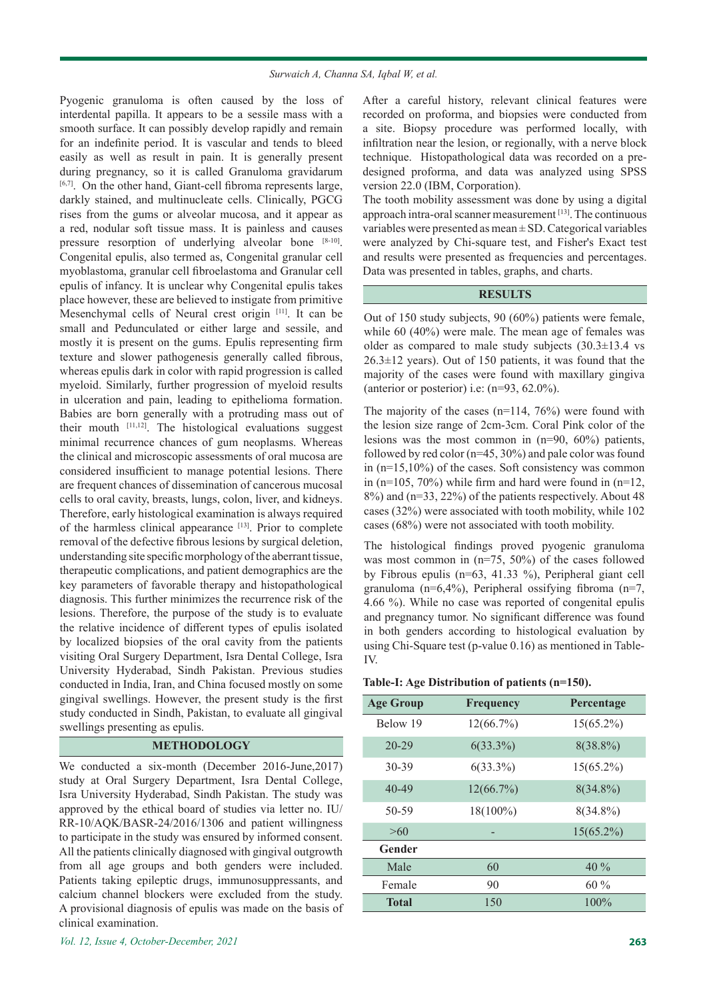Pyogenic granuloma is often caused by the loss of interdental papilla. It appears to be a sessile mass with a smooth surface. It can possibly develop rapidly and remain for an indefinite period. It is vascular and tends to bleed easily as well as result in pain. It is generally present during pregnancy, so it is called Granuloma gravidarum [6,7]. On the other hand, Giant-cell fibroma represents large, darkly stained, and multinucleate cells. Clinically, PGCG rises from the gums or alveolar mucosa, and it appear as a red, nodular soft tissue mass. It is painless and causes pressure resorption of underlying alveolar bone [8-10]. Congenital epulis, also termed as, Congenital granular cell myoblastoma, granular cell fibroelastoma and Granular cell epulis of infancy. It is unclear why Congenital epulis takes place however, these are believed to instigate from primitive Mesenchymal cells of Neural crest origin [11]. It can be small and Pedunculated or either large and sessile, and mostly it is present on the gums. Epulis representing firm texture and slower pathogenesis generally called fibrous, whereas epulis dark in color with rapid progression is called myeloid. Similarly, further progression of myeloid results in ulceration and pain, leading to epithelioma formation. Babies are born generally with a protruding mass out of their mouth  $[11,12]$ . The histological evaluations suggest minimal recurrence chances of gum neoplasms. Whereas the clinical and microscopic assessments of oral mucosa are considered insufficient to manage potential lesions. There are frequent chances of dissemination of cancerous mucosal cells to oral cavity, breasts, lungs, colon, liver, and kidneys. Therefore, early histological examination is always required of the harmless clinical appearance [13]. Prior to complete removal of the defective fibrous lesions by surgical deletion, understanding site specific morphology of the aberrant tissue, therapeutic complications, and patient demographics are the key parameters of favorable therapy and histopathological diagnosis. This further minimizes the recurrence risk of the lesions. Therefore, the purpose of the study is to evaluate the relative incidence of different types of epulis isolated by localized biopsies of the oral cavity from the patients visiting Oral Surgery Department, Isra Dental College, Isra University Hyderabad, Sindh Pakistan. Previous studies conducted in India, Iran, and China focused mostly on some gingival swellings. However, the present study is the first study conducted in Sindh, Pakistan, to evaluate all gingival swellings presenting as epulis.

#### **METHODOLOGY**

We conducted a six-month (December 2016-June,2017) study at Oral Surgery Department, Isra Dental College, Isra University Hyderabad, Sindh Pakistan. The study was approved by the ethical board of studies via letter no. IU/ RR-10/AQK/BASR-24/2016/1306 and patient willingness to participate in the study was ensured by informed consent. All the patients clinically diagnosed with gingival outgrowth from all age groups and both genders were included. Patients taking epileptic drugs, immunosuppressants, and calcium channel blockers were excluded from the study. A provisional diagnosis of epulis was made on the basis of clinical examination.

After a careful history, relevant clinical features were recorded on proforma, and biopsies were conducted from a site. Biopsy procedure was performed locally, with infiltration near the lesion, or regionally, with a nerve block technique. Histopathological data was recorded on a predesigned proforma, and data was analyzed using SPSS version 22.0 (IBM, Corporation).

The tooth mobility assessment was done by using a digital approach intra-oral scanner measurement [13]. The continuous variables were presented as mean ± SD. Categorical variables were analyzed by Chi-square test, and Fisher's Exact test and results were presented as frequencies and percentages. Data was presented in tables, graphs, and charts.

# **RESULTS**

Out of 150 study subjects, 90 (60%) patients were female, while 60 (40%) were male. The mean age of females was older as compared to male study subjects  $(30.3\pm13.4 \text{ vs } 30.3\pm13.4 \text{ vs } 30.3\pm13.4 \text{ vs } 30.3\pm13.4 \text{ vs } 30.3\pm13.4 \text{ vs } 30.3\pm13.4 \text{ vs } 30.3\pm13.4 \text{ vs } 30.3\pm13.4 \text{ vs } 30.3\pm13.4 \text{ vs } 30.3\pm13.4 \text{ vs } 30.3\pm13.4 \text{ vs } 30$  $26.3\pm12$  years). Out of 150 patients, it was found that the majority of the cases were found with maxillary gingiva (anterior or posterior) i.e: (n=93, 62.0%).

The majority of the cases  $(n=114, 76%)$  were found with the lesion size range of 2cm-3cm. Coral Pink color of the lesions was the most common in (n=90, 60%) patients, followed by red color (n=45, 30%) and pale color was found in (n=15,10%) of the cases. Soft consistency was common in (n=105, 70%) while firm and hard were found in (n=12, 8%) and (n=33, 22%) of the patients respectively. About 48 cases (32%) were associated with tooth mobility, while 102 cases (68%) were not associated with tooth mobility.

The histological findings proved pyogenic granuloma was most common in (n=75, 50%) of the cases followed by Fibrous epulis (n=63, 41.33 %), Peripheral giant cell granuloma (n=6,4%), Peripheral ossifying fibroma (n=7, 4.66 %). While no case was reported of congenital epulis and pregnancy tumor. No significant difference was found in both genders according to histological evaluation by using Chi-Square test (p-value 0.16) as mentioned in Table-IV.

|  | Table-I: Age Distribution of patients (n=150). |  |  |
|--|------------------------------------------------|--|--|
|--|------------------------------------------------|--|--|

| <b>Age Group</b> | Frequency   | Percentage   |
|------------------|-------------|--------------|
| Below 19         | 12(66.7%)   | $15(65.2\%)$ |
| $20 - 29$        | $6(33.3\%)$ | 8(38.8%)     |
| 30-39            | $6(33.3\%)$ | $15(65.2\%)$ |
| $40 - 49$        | 12(66.7%)   | $8(34.8\%)$  |
| 50-59            | 18(100%)    | 8(34.8%)     |
| >60              |             | $15(65.2\%)$ |
| Gender           |             |              |
| Male             | 60          | $40\%$       |
| Female           | 90          | $60\%$       |
| Total            | 150         | 100%         |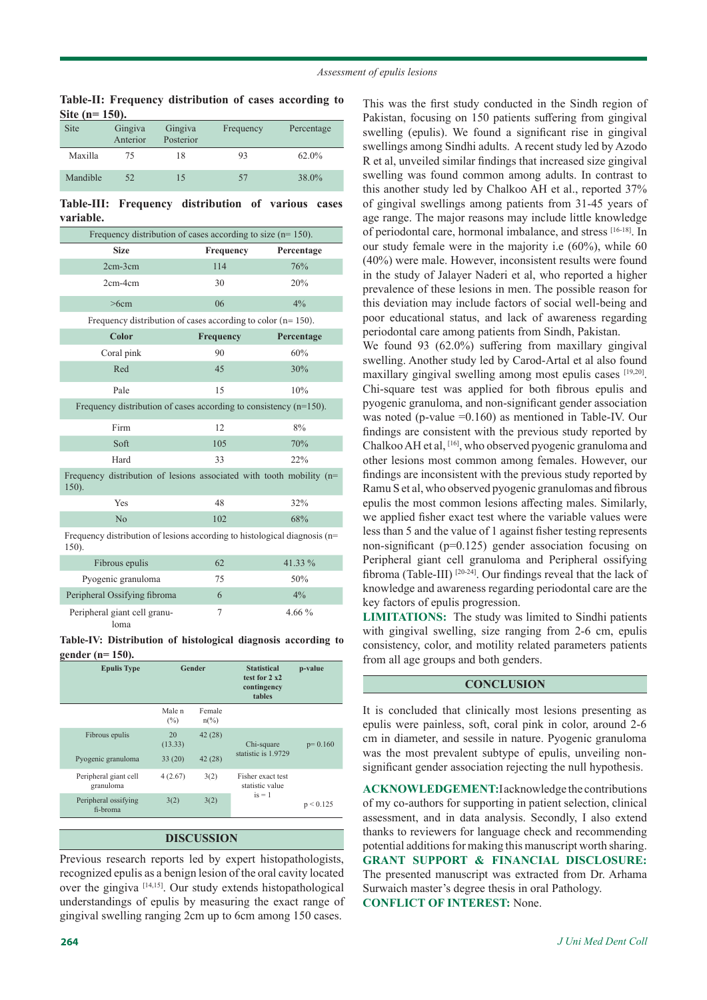**Table-II: Frequency distribution of cases according to Site (n= 150).**

| <b>Site</b> | Gingiva<br>Anterior | Gingiva<br>Posterior | Frequency | Percentage |
|-------------|---------------------|----------------------|-----------|------------|
| Maxilla     | 75                  | 18                   | 93        | 62.0%      |
| Mandible    | 52                  | 15                   | 57        | 38.0%      |

**Table-III: Frequency distribution of various cases variable.**

| Frequency distribution of cases according to size ( $n=150$ ).                        |           |                 |  |  |
|---------------------------------------------------------------------------------------|-----------|-----------------|--|--|
| <b>Size</b>                                                                           | Frequency | Percentage      |  |  |
| $2cm-3cm$                                                                             | 114       | 76%             |  |  |
| $2cm-4cm$                                                                             | 30        | 20%             |  |  |
| >6cm                                                                                  | 06        | 4%              |  |  |
| Frequency distribution of cases according to color ( $n = 150$ ).                     |           |                 |  |  |
| Color                                                                                 | Frequency | Percentage      |  |  |
| Coral pink                                                                            | 90        | 60%             |  |  |
| Red                                                                                   | 45        | 30%             |  |  |
| Pale                                                                                  | 15        | 10%             |  |  |
| Frequency distribution of cases according to consistency $(n=150)$ .                  |           |                 |  |  |
| Firm                                                                                  | 12        | 8%              |  |  |
| Soft                                                                                  | 105       | 70%             |  |  |
| Hard                                                                                  | 33        | 22%             |  |  |
| Frequency distribution of lesions associated with tooth mobility (n=<br>150).         |           |                 |  |  |
| Yes                                                                                   | 48        | 32%             |  |  |
| No                                                                                    | 102       | 68%             |  |  |
| Frequency distribution of lesions according to histological diagnosis ( $n=$<br>150). |           |                 |  |  |
| Fibrous epulis                                                                        | 62        | 41.33 %         |  |  |
| $D_{\text{max}} = 1.11$ and $D_{\text{max}} = 1.001$                                  | $\pi$     | $\epsilon$ 0.0/ |  |  |

Pyogenic granuloma 75 50% Peripheral Ossifying fibroma 6 6 4% Peripheral giant cell granuloma 7 4.66 %

**Table-IV: Distribution of histological diagnosis according to gender (n= 150).**

| <b>Epulis Type</b>                   | Gender                   |                           | <b>Statistical</b><br>test for $2 x 2$<br>contingency<br>tables | p-value   |
|--------------------------------------|--------------------------|---------------------------|-----------------------------------------------------------------|-----------|
|                                      | Male <sub>n</sub><br>(%) | Female<br>$n\binom{0}{0}$ |                                                                 |           |
| Fibrous epulis<br>Pyogenic granuloma | 20<br>(13.33)<br>33(20)  | 42(28)<br>42(28)          | Chi-square<br>statistic is 1.9729                               | $p=0.160$ |
| Peripheral giant cell<br>granuloma   | 4(2.67)                  | 3(2)                      | Fisher exact test<br>statistic value                            |           |
| Peripheral ossifying<br>fi-broma     | 3(2)                     | 3(2)                      | $is = 1$                                                        | p < 0.125 |

#### **DISCUSSION**

Previous research reports led by expert histopathologists, recognized epulis as a benign lesion of the oral cavity located over the gingiva [14,15]. Our study extends histopathological understandings of epulis by measuring the exact range of gingival swelling ranging 2cm up to 6cm among 150 cases.

maxillary gingival swelling among most epulis cases [19,20]. Chi-square test was applied for both fibrous epulis and pyogenic granuloma, and non-significant gender association was noted (p-value =0.160) as mentioned in Table-IV. Our findings are consistent with the previous study reported by Chalkoo AH et al, [16], who observed pyogenic granuloma and other lesions most common among females. However, our findings are inconsistent with the previous study reported by Ramu S et al, who observed pyogenic granulomas and fibrous epulis the most common lesions affecting males. Similarly, we applied fisher exact test where the variable values were less than 5 and the value of 1 against fisher testing represents non-significant (p=0.125) gender association focusing on Peripheral giant cell granuloma and Peripheral ossifying fibroma (Table-III) [20-24]. Our findings reveal that the lack of

> knowledge and awareness regarding periodontal care are the key factors of epulis progression. **LIMITATIONS:** The study was limited to Sindhi patients with gingival swelling, size ranging from 2-6 cm, epulis consistency, color, and motility related parameters patients from all age groups and both genders.

> This was the first study conducted in the Sindh region of Pakistan, focusing on 150 patients suffering from gingival swelling (epulis). We found a significant rise in gingival swellings among Sindhi adults. A recent study led by Azodo R et al, unveiled similar findings that increased size gingival swelling was found common among adults. In contrast to this another study led by Chalkoo AH et al., reported 37% of gingival swellings among patients from 31-45 years of age range. The major reasons may include little knowledge of periodontal care, hormonal imbalance, and stress [16-18]. In our study female were in the majority i.e (60%), while 60 (40%) were male. However, inconsistent results were found in the study of Jalayer Naderi et al, who reported a higher prevalence of these lesions in men. The possible reason for this deviation may include factors of social well-being and poor educational status, and lack of awareness regarding periodontal care among patients from Sindh, Pakistan. We found 93 (62.0%) suffering from maxillary gingival swelling. Another study led by Carod-Artal et al also found

#### **CONCLUSION**

It is concluded that clinically most lesions presenting as epulis were painless, soft, coral pink in color, around 2-6 cm in diameter, and sessile in nature. Pyogenic granuloma was the most prevalent subtype of epulis, unveiling nonsignificant gender association rejecting the null hypothesis.

**ACKNOWLEDGEMENT:**I acknowledge the contributions of my co-authors for supporting in patient selection, clinical assessment, and in data analysis. Secondly, I also extend thanks to reviewers for language check and recommending potential additions for making this manuscript worth sharing. **GRANT SUPPORT & FINANCIAL DISCLOSURE:**  The presented manuscript was extracted from Dr. Arhama Surwaich master's degree thesis in oral Pathology. **CONFLICT OF INTEREST:** None.